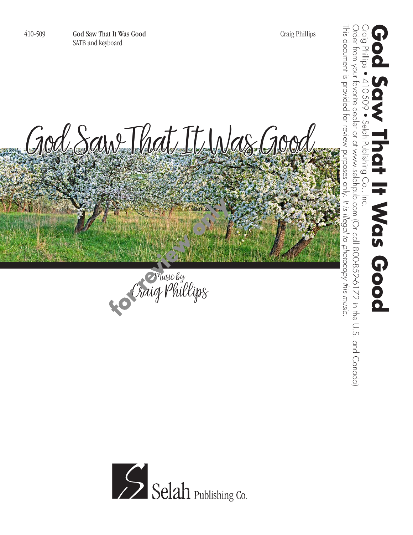410-509 God Saw That It Was Good Craig Phillips SATB and keyboard

This document is provided for review purposes only.

Craig Phillips • 410-509 • Selah Publishing Co., Inc.

Selah

Publishing

 $\overline{C}$ 

 $\overline{5}$ 

410-509

 $\overline{\hat{G}}$ 

**God Saw That It Was Good**

**HWas Good** 

Order from your favorite dealer or at www.selahpub.com (Or call 800-852-6172 in the U.S. and Canada)

Order from your favorite dealer or at www.selahpub.com (Or call 800-852-6172 in the U.S. and Canada)

*It is illegal to photocopy this music.*

This document is provided for review purposes only. It is illegal to photocopy this music. God Saw That It Was Good

Music by Craig Phillips

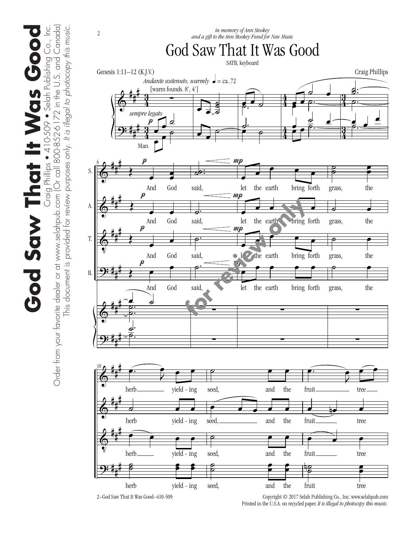$\Phi$ <u>9:</u> # # # # # # 4 <u>ភ្</u> 4  $\frac{3}{2}$ 4 4 4 4  $\frac{3}{4}$ <u>ភ្ន</u>  $\frac{3}{4}$ <u>ភ្ន</u> ∑ œ œ ˙ œ œ ˙  $\boldsymbol{p}$ *Andante sostenuto, warmly*  $\bullet$  = ca..72 Man. *sempre legato* [warm founds. 8', 4']  $\overrightarrow{•}$ ˙ ˙ ˙  $\overrightarrow{ }$  $\overline{e}$  $e^{\frac{1}{2}}$ ˙. <u>e e</u>  $\overline{\bullet}$ <u>。</u> œ  $\frac{1}{\rho}$ œ <u>。</u>  $\frac{e}{\sqrt{e}}$ .<br>.<br>- $\overline{\mathbf{z}}$ :  $\mathbf{z}$  $\frac{1}{\rho}$ <u>d</u><br>2. d œ ˙.  $\Phi$  $\Phi$  $\Phi$ <u>ș:</u>  $\Phi$ <u>9:</u> # # # # # # # # # # # # # # # # # # 6  $\frac{1}{2}$ œ œ And God  $\left\{$   $\right\}$ And God  $\frac{1}{2}$ œ And God  $\begin{array}{c} \begin{array}{c} 1 \\ \hline \end{array} \end{array}$ œ And God  $\begin{array}{c} \n\bullet & \bullet \\
\hline\n\bullet & \bullet \\
\hline\n\bullet & \bullet\n\end{array}$ . e<br>C  $\frac{2}{2}$  $\underline{\underline{\phantom{a}}}.$  $\frac{2}{\sigma}$ .  $\boldsymbol{p}$  $\boldsymbol{p}$  $\boldsymbol{p}$  $\boldsymbol{p}$ S. A. T. B.  $\frac{1}{\mathcal{S}}$ : said, ˙. said, ˙. said, .....<br>م said, ∑ ∑ œ œ **●**<br>● ● ● let the earth bring forth œ œ œ œ œ let the earth bring forth œ  $\overline{\phantom{a}}$  $\frac{1}{\sqrt{1-\frac{1}{\sqrt{1-\frac{1}{\sqrt{1-\frac{1}{\sqrt{1-\frac{1}{\sqrt{1-\frac{1}{\sqrt{1-\frac{1}{\sqrt{1-\frac{1}{\sqrt{1-\frac{1}{\sqrt{1-\frac{1}{\sqrt{1-\frac{1}{\sqrt{1-\frac{1}{\sqrt{1-\frac{1}{\sqrt{1-\frac{1}{\sqrt{1-\frac{1}{\sqrt{1-\frac{1}{\sqrt{1-\frac{1}{\sqrt{1-\frac{1}{\sqrt{1-\frac{1}{\sqrt{1-\frac{1}{\sqrt{1-\frac{1}{\sqrt{1-\frac{1}{\sqrt{1-\frac{1}{\sqrt{1-\frac{1}{\sqrt{1-\frac{1$ let the earth bring forth è œ œ œ œ let the earth bring forth ∑ ∑  $m$  $mp$  $\frac{1}{n}$  $\boldsymbol{m}{\boldsymbol{p}}$  $\mathbf{g}$  $\frac{2}{3}$ œ œ grass, the  $\overline{\phantom{a}}$ grass, the  $\overline{\qquad \qquad }$ grass, the  $\circ$ grass, the ∑ ∑  $\Phi$  $\Phi$  $\Phi$ <u>ș:</u> # # # # # # # # # # # # 10  $\begin{picture}(180,170)(-10,170)(-10,170)(-10,170)(-10,170)(-10,170)(-10,170)(-10,170)(-10,170)(-10,170)(-10,170)(-10,170)(-10,170)(-10,170)(-10,170)(-10,170)(-10,170)(-10,170)(-10,170)(-10,170)(-10,170)(-10,170)(-10,170)(-10,170)(-10,170)(-10,170)(-10,170$  $\bullet$   $\bullet$   $\bullet$ herb\_\_\_\_\_\_\_\_\_\_\_\_\_ yield - ing ˙ œ œ herb yield - ing  $\bullet$   $\bullet$   $\bullet$   $\bullet$ herb yield ing - ˙  $\mathbf{s}$  $\frac{2}{\sqrt{2}}$ œ herb yield - ing ˙ œ œ seed, and the  $e$   $e$   $e$   $e$   $e$ seed, and the **e** e e seed, and the ˙  $\frac{1}{2}$ œ œ œ œ seed, and the <sup>œ</sup>. <sup>J</sup>  $\begin{array}{c} \overbrace{ } \\ \overbrace{ } \\ \overbrace{ } \end{array}$ fruit\_\_\_\_\_\_\_\_\_\_\_\_\_\_\_\_ tree <u></u> fruit\_\_\_\_\_\_\_\_\_\_\_\_\_\_\_tree  $\bullet$ fruit\_\_\_\_\_\_\_\_\_\_\_ tree  $\mathbf{g}$  $\frac{2}{3}$  $\frac{1}{2}$ œ fruit tree God Saw That It Was Good SATB, keyboard Genesis 1:11–12 (K.J.V.) Craig Phillips *in memory of Ann Stookey and a gift to the Ann Stookey Fund for New Music*<br>and a gift to the Ann Stookey Fund for New Music

2–God Saw That It Was Good–410-509

 Copyright © 2017 Selah Publishing Co., Inc. www.selahpub.com Printed in the U.S.A. on recycled paper. *It is illegal to photocopy this music.* 

s • 410-509 • Selah Publishing Co., Inc.<br>800-852-6172 in the U.S. and Canada) **God Saw That It Was Good** Craig Phillips • 410-509 • Selah Publishing Co., Inc. God Saw That It Was Good

Order from your favorite dealer or at www.selahpub.com (Or call 800-852-6172 in the U.S. and Canada)

Order from your favorite dealer or at www.selahpub.com (Or call

This document is provided for review purposes only. *It is illegal to photocopy this music.*

This document is provided for review purposes only. It is illegal to photocopy this music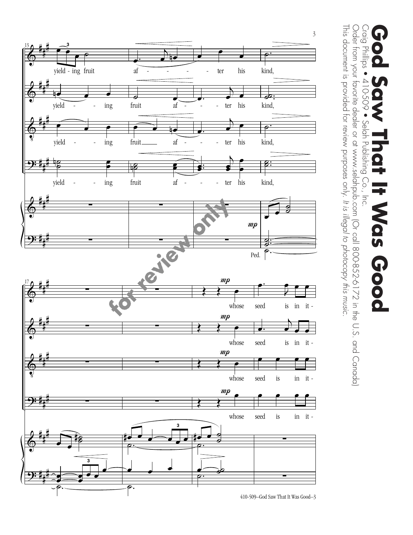

Craig Phillips ● 410-509 Craig Phillips • 410-509 • Selah Publishing Co., Inc. **God Saw That It Was Good**  $\bullet$ Selah Publishing Co.,  $\overline{5}$ **Nas Good** 

This document is provided for review purposes only.

This document is provided for review purposes only. It is illegal to photocopy this music.

Order from your favorite dealer or at www.selahpub.com (Or call 800-852-6172 in the U.S. and Canada)

Order from your favorite dealer or at www.selahpub.com (Or call 800-852-6172 in the U.S. and Canada)

*It is illegal to photocopy this music.*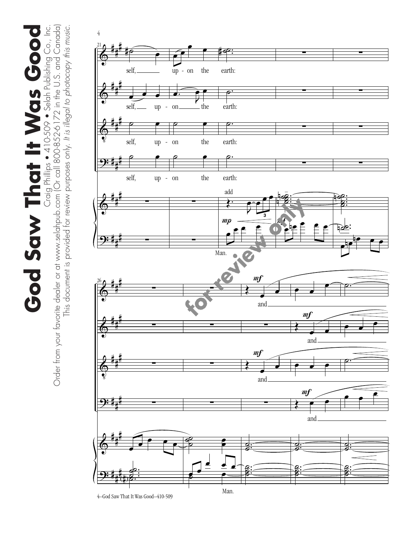**God Saw That It Was Good** Craig Phillips • 410-509 • Selah Publishing Co., Inc. God Saw That It Was Good

Craig Phillips • 410-509 • Selah Publishing Co., Inc.<br>Order from your favorite dealer or at www.selahpub.com (Or call 800-852-6172 in the U.S. and Canada) Order from your favorite dealer or at www.selahpub.com (Or call 800-852-6172 in the U.S. and Canada) This document is provided for review purposes only. It is illegal to photocopy this music. This document is provided for review purposes only. *It is illegal to photocopy this music.*

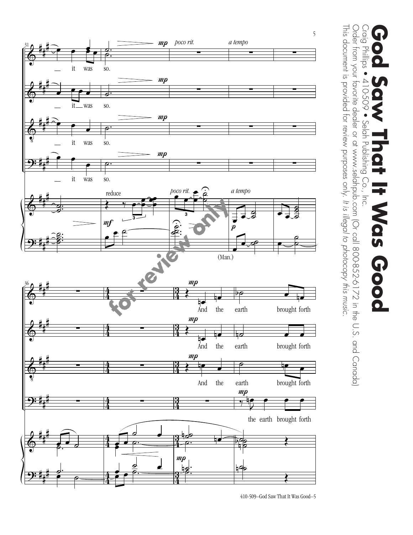

<sup>410-509–</sup>God Saw That It Was Good–5

## Craig Phillips • 410-509 Craig Phillips • 410-509 • Selah Publishing Co., Inc. **God Saw That It Was Good**  $\bullet$ Selah Publishing Co.,  $\overline{5}$ Nas Good

This document is provided for review purposes only.

This document is provided for review purposes only. It is illegal to photocopy this music.

Order from your favorite dealer or at www.selahpub.com (Or call 800-852-6172 in the U.S. and Canada)

Order from your favorite dealer or at www.selahpub.com (Or call 800-852-6172 in the U.S. and Canada)

*It is illegal to photocopy this music.*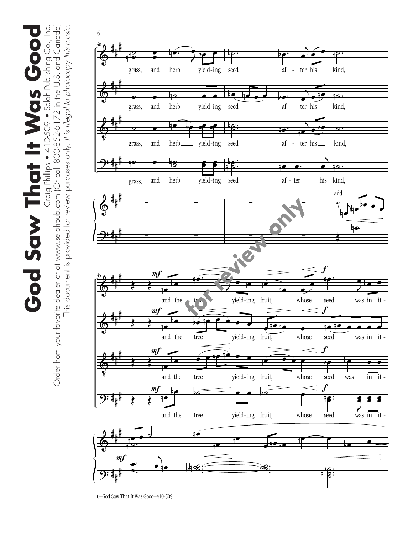Craig Phillips ● 410-509 ● Selah Publishing Co., Inc.<br>Order from your favorite dealer or at www.selahpub.com (Or call 800-852-6172 in the U.S. and Canada) Order from your favorite dealer or at www.selahpub.com (Or call 800-852-6172 in the U.S. and Canada) **God Saw That It Was Good** Craig Phillips • 410-509 • Selah Publishing Co., Inc. This document is provided for review purposes only. *It is illegal to photocopy this music.* This document is provided for review purposes only. It is illegal to photocopy this music God Saw That It Was Goo



<sup>6–</sup>God Saw That It Was Good–410-509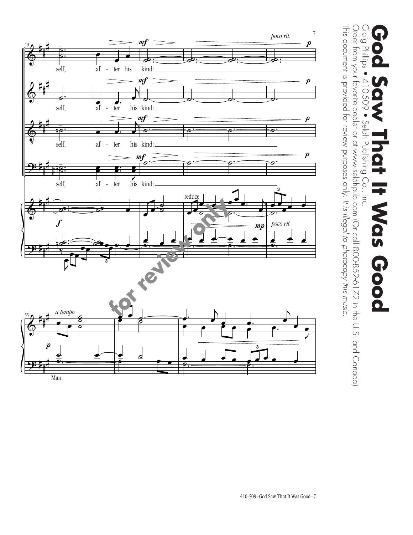

Order from your favorite dealer or at www.selahpub.com (Or call 800-852-6172 in the U.S. and Canada) Order from your favorite dealer or at www.selahpub.com (Or call 800-852-6172 in the U.S. and Canada) Craig Phillips ● 410-509 Craig Phillips • 410-509 • Selah Publishing Co., Inc. **God Saw That It Was Good**  $\overline{\mathbf{Q}}$  $\bullet$ Selah Publishing Co.,  $\overline{5}$ **Nas Good** 

This document is provided for review purposes only.

This document is provided for review purposes only. It is illegal to photocopy this music.

*It is illegal to photocopy this music.*